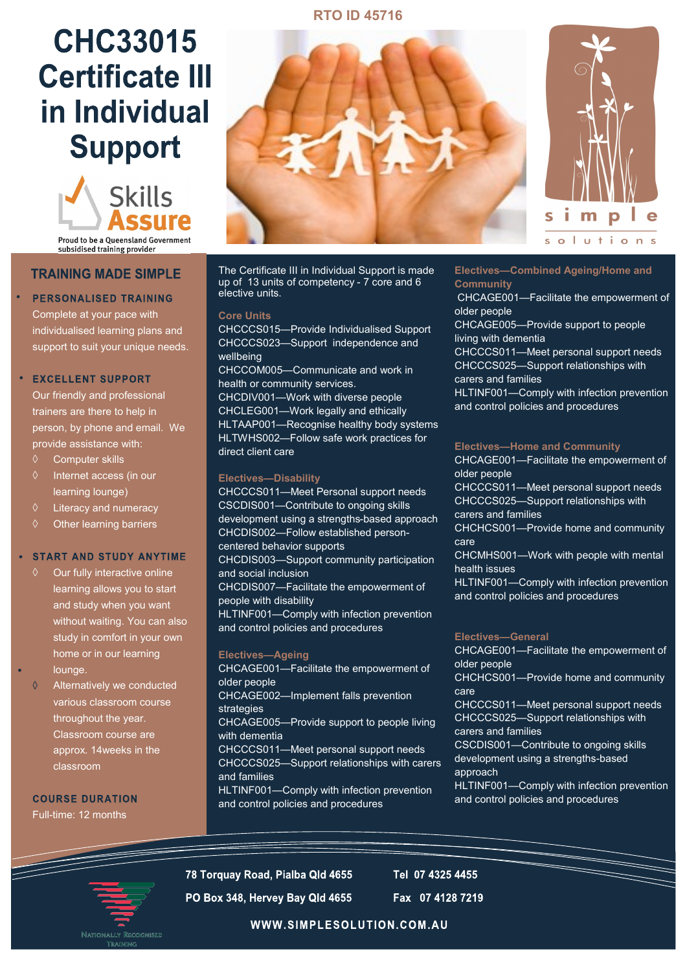# **RTO ID 45716**

# **CHC33015 Certificate III** in Individual **Support**



subsidised training provider

# **TRAINING MADE SIMPLE**

# **PERSONALISED TRAINING**

Complete at your pace with individualised learning plans and support to suit your unique needs.

### **EXCELLENT SUPPORT**

Our friendly and professional trainers are there to help in person, by phone and email. We provide assistance with:

- Computer skills
- $\Diamond$  Internet access (in our learning lounge)
- $\Diamond$  Literacy and numeracy
- $\diamond$  Other learning barriers

#### **START AND STUDY ANYTIME**

- $\Diamond$  Our fully interactive online learning allows you to start and study when you want without waiting. You can also study in comfort in your own home or in our learning lounge.
- $\Diamond$ Alternatively we conducted various classroom course throughout the year. Classroom course are approx. 14weeks in the classroom

**COURSE DURATION** Full-time: 12 months



The Certificate III in Individual Support is made up of 13 units of competency - 7 core and 6 elective units.

#### **Core Units**

CHCCCS015—Provide Individualised Support CHCCCS023—Support independence and wellbeing CHCCOM005—Communicate and work in health or community services. CHCDIV001—Work with diverse people CHCLEG001—Work legally and ethically HLTAAP001—Recognise healthy body systems HLTWHS002—Follow safe work practices for direct client care

## **Electives—Disability**

CHCCCS011—Meet Personal support needs CSCDIS001—Contribute to ongoing skills development using a strengths-based approach CHCDIS002—Follow established personcentered behavior supports CHCDIS003—Support community participation and social inclusion CHCDIS007—Facilitate the empowerment of people with disability HLTINF001—Comply with infection prevention and control policies and procedures **Electives—Ageing** 

CHCAGE001—Facilitate the empowerment of older people CHCAGE002—Implement falls prevention strategies CHCAGE005—Provide support to people living with dementia CHCCCS011—Meet personal support needs CHCCCS025—Support relationships with carers and families HLTINF001—Comply with infection prevention and control policies and procedures



**Electives—Combined Ageing/Home and Community**

CHCAGE001—Facilitate the empowerment of older people

CHCAGE005—Provide support to people living with dementia

CHCCCS011—Meet personal support needs CHCCCS025—Support relationships with carers and families

HLTINF001—Comply with infection prevention and control policies and procedures

#### **Electives—Home and Community**

CHCAGE001—Facilitate the empowerment of older people

CHCCCS011—Meet personal support needs CHCCCS025—Support relationships with carers and families

CHCHCS001—Provide home and community care

CHCMHS001—Work with people with mental health issues

HLTINF001—Comply with infection prevention and control policies and procedures

#### **Electives—General**

CHCAGE001—Facilitate the empowerment of older people

CHCHCS001—Provide home and community care

CHCCCS011—Meet personal support needs CHCCCS025—Support relationships with carers and families

CSCDIS001—Contribute to ongoing skills

development using a strengths-based approach

HLTINF001—Comply with infection prevention and control policies and procedures

78 Torquay Road, Pialba Qld 4655

Tel 07 4325 4455

PO Box 348, Hervey Bay Qld 4655

Fax 07 4128 7219

WWW.SIMPLESOLUTION.COM.AU